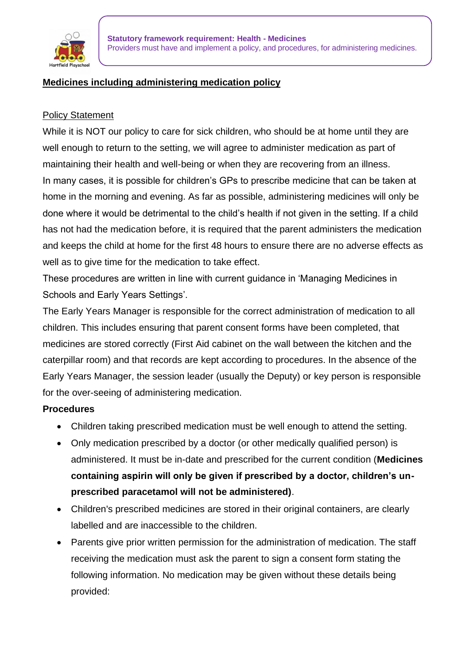

### **Medicines including administering medication policy**

#### Policy Statement

While it is NOT our policy to care for sick children, who should be at home until they are well enough to return to the setting, we will agree to administer medication as part of maintaining their health and well-being or when they are recovering from an illness. In many cases, it is possible for children's GPs to prescribe medicine that can be taken at home in the morning and evening. As far as possible, administering medicines will only be done where it would be detrimental to the child's health if not given in the setting. If a child has not had the medication before, it is required that the parent administers the medication and keeps the child at home for the first 48 hours to ensure there are no adverse effects as well as to give time for the medication to take effect.

These procedures are written in line with current guidance in 'Managing Medicines in Schools and Early Years Settings'.

The Early Years Manager is responsible for the correct administration of medication to all children. This includes ensuring that parent consent forms have been completed, that medicines are stored correctly (First Aid cabinet on the wall between the kitchen and the caterpillar room) and that records are kept according to procedures. In the absence of the Early Years Manager, the session leader (usually the Deputy) or key person is responsible for the over-seeing of administering medication.

#### **Procedures**

- Children taking prescribed medication must be well enough to attend the setting.
- Only medication prescribed by a doctor (or other medically qualified person) is administered. It must be in-date and prescribed for the current condition (**Medicines containing aspirin will only be given if prescribed by a doctor, children's unprescribed paracetamol will not be administered)**.
- Children's prescribed medicines are stored in their original containers, are clearly labelled and are inaccessible to the children.
- Parents give prior written permission for the administration of medication. The staff receiving the medication must ask the parent to sign a consent form stating the following information. No medication may be given without these details being provided: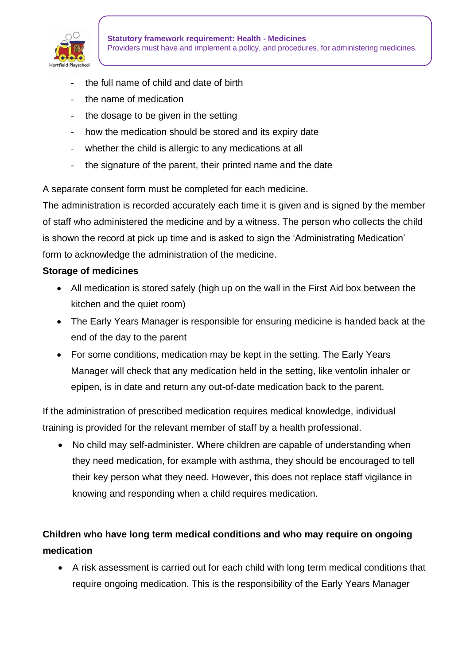

- the full name of child and date of birth
- the name of medication
- the dosage to be given in the setting
- how the medication should be stored and its expiry date
- whether the child is allergic to any medications at all
- the signature of the parent, their printed name and the date

A separate consent form must be completed for each medicine.

The administration is recorded accurately each time it is given and is signed by the member of staff who administered the medicine and by a witness. The person who collects the child is shown the record at pick up time and is asked to sign the 'Administrating Medication' form to acknowledge the administration of the medicine.

#### **Storage of medicines**

- All medication is stored safely (high up on the wall in the First Aid box between the kitchen and the quiet room)
- The Early Years Manager is responsible for ensuring medicine is handed back at the end of the day to the parent
- For some conditions, medication may be kept in the setting. The Early Years Manager will check that any medication held in the setting, like ventolin inhaler or epipen, is in date and return any out-of-date medication back to the parent.

If the administration of prescribed medication requires medical knowledge, individual training is provided for the relevant member of staff by a health professional.

• No child may self-administer. Where children are capable of understanding when they need medication, for example with asthma, they should be encouraged to tell their key person what they need. However, this does not replace staff vigilance in knowing and responding when a child requires medication.

# **Children who have long term medical conditions and who may require on ongoing medication**

• A risk assessment is carried out for each child with long term medical conditions that require ongoing medication. This is the responsibility of the Early Years Manager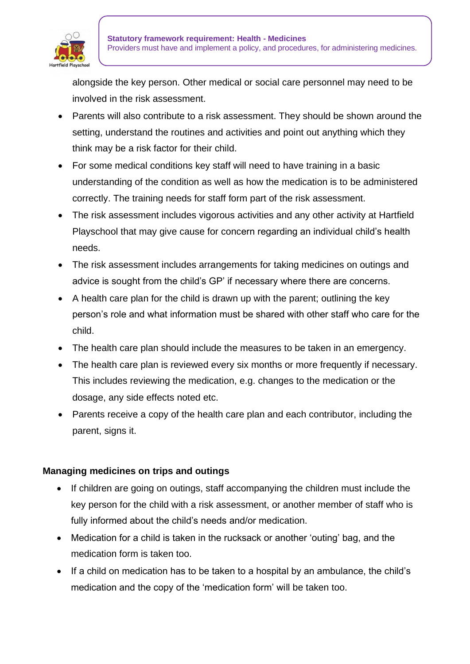

alongside the key person. Other medical or social care personnel may need to be involved in the risk assessment.

- Parents will also contribute to a risk assessment. They should be shown around the setting, understand the routines and activities and point out anything which they think may be a risk factor for their child.
- For some medical conditions key staff will need to have training in a basic understanding of the condition as well as how the medication is to be administered correctly. The training needs for staff form part of the risk assessment.
- The risk assessment includes vigorous activities and any other activity at Hartfield Playschool that may give cause for concern regarding an individual child's health needs.
- The risk assessment includes arrangements for taking medicines on outings and advice is sought from the child's GP' if necessary where there are concerns.
- A health care plan for the child is drawn up with the parent; outlining the key person's role and what information must be shared with other staff who care for the child.
- The health care plan should include the measures to be taken in an emergency.
- The health care plan is reviewed every six months or more frequently if necessary. This includes reviewing the medication, e.g. changes to the medication or the dosage, any side effects noted etc.
- Parents receive a copy of the health care plan and each contributor, including the parent, signs it.

## **Managing medicines on trips and outings**

- If children are going on outings, staff accompanying the children must include the key person for the child with a risk assessment, or another member of staff who is fully informed about the child's needs and/or medication.
- Medication for a child is taken in the rucksack or another 'outing' bag, and the medication form is taken too.
- If a child on medication has to be taken to a hospital by an ambulance, the child's medication and the copy of the 'medication form' will be taken too.